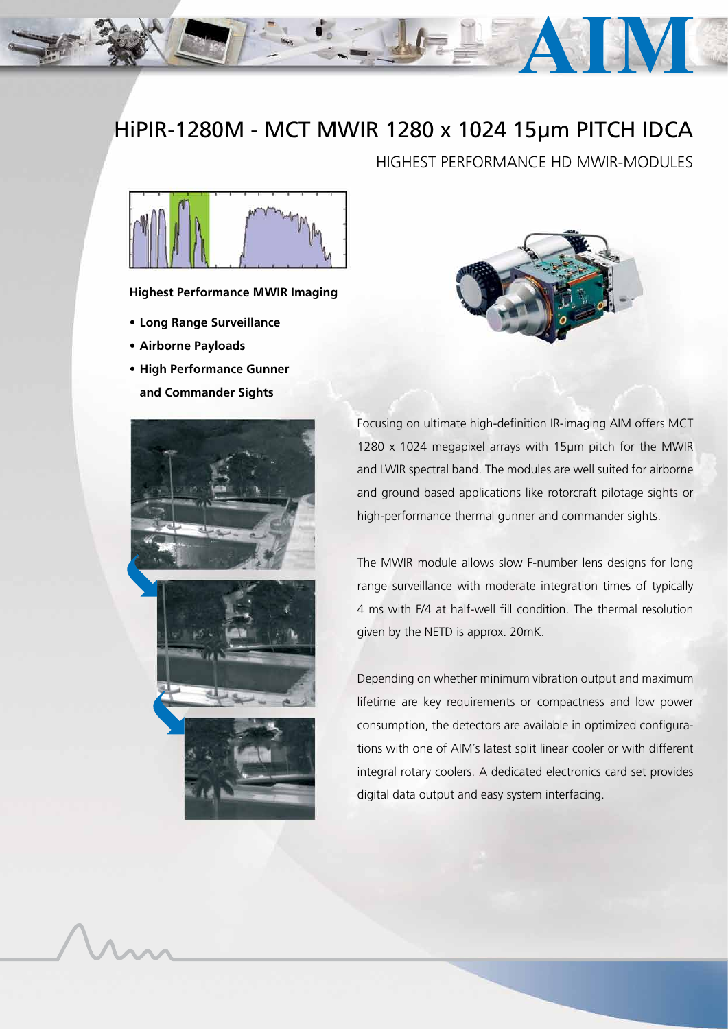## HiPIR-1280M - MCT MWIR 1280 x 1024 15µm PITCH IDCA

HIGHEST PERFORMANCE HD MWIR-MODULES



**Highest Performance MWIR Imaging**

- **• Long Range Surveillance**
- **• Airborne Payloads**
- **• High Performance Gunner and Commander Sights**





Focusing on ultimate high-definition IR-imaging AIM offers MCT 1280 x 1024 megapixel arrays with 15µm pitch for the MWIR and LWIR spectral band. The modules are well suited for airborne and ground based applications like rotorcraft pilotage sights or high-performance thermal gunner and commander sights.

The MWIR module allows slow F-number lens designs for long range surveillance with moderate integration times of typically 4 ms with F/4 at half-well fill condition. The thermal resolution given by the NETD is approx. 20mK.

Depending on whether minimum vibration output and maximum lifetime are key requirements or compactness and low power consumption, the detectors are available in optimized configurations with one of AIM´s latest split linear cooler or with different integral rotary coolers. A dedicated electronics card set provides digital data output and easy system interfacing.